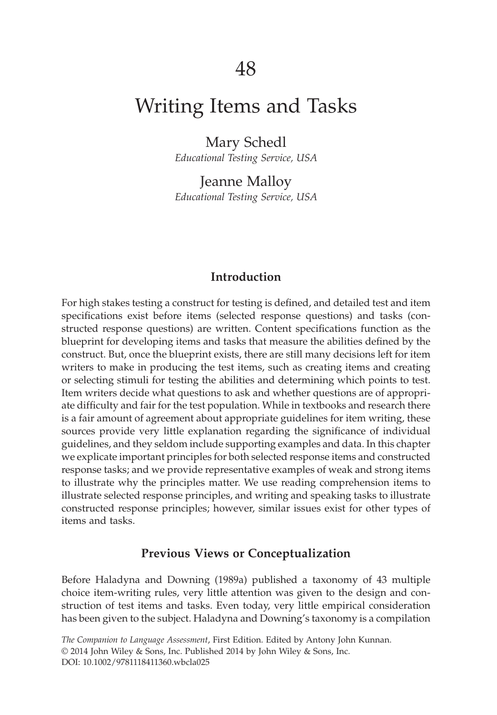# Writing Items and Tasks

Mary Schedl

*Educational Testing Service, USA*

Jeanne Malloy *Educational Testing Service, USA*

# **Introduction**

For high stakes testing a construct for testing is defined, and detailed test and item specifications exist before items (selected response questions) and tasks (constructed response questions) are written. Content specifications function as the blueprint for developing items and tasks that measure the abilities defined by the construct. But, once the blueprint exists, there are still many decisions left for item writers to make in producing the test items, such as creating items and creating or selecting stimuli for testing the abilities and determining which points to test. Item writers decide what questions to ask and whether questions are of appropriate difficulty and fair for the test population. While in textbooks and research there is a fair amount of agreement about appropriate guidelines for item writing, these sources provide very little explanation regarding the significance of individual guidelines, and they seldom include supporting examples and data. In this chapter we explicate important principles for both selected response items and constructed response tasks; and we provide representative examples of weak and strong items to illustrate why the principles matter. We use reading comprehension items to illustrate selected response principles, and writing and speaking tasks to illustrate constructed response principles; however, similar issues exist for other types of items and tasks.

# **Previous Views or Conceptualization**

Before Haladyna and Downing (1989a) published a taxonomy of 43 multiple choice item-writing rules, very little attention was given to the design and construction of test items and tasks. Even today, very little empirical consideration has been given to the subject. Haladyna and Downing's taxonomy is a compilation

*The Companion to Language Assessment*, First Edition. Edited by Antony John Kunnan. © 2014 John Wiley & Sons, Inc. Published 2014 by John Wiley & Sons, Inc. DOI: 10.1002/9781118411360.wbcla025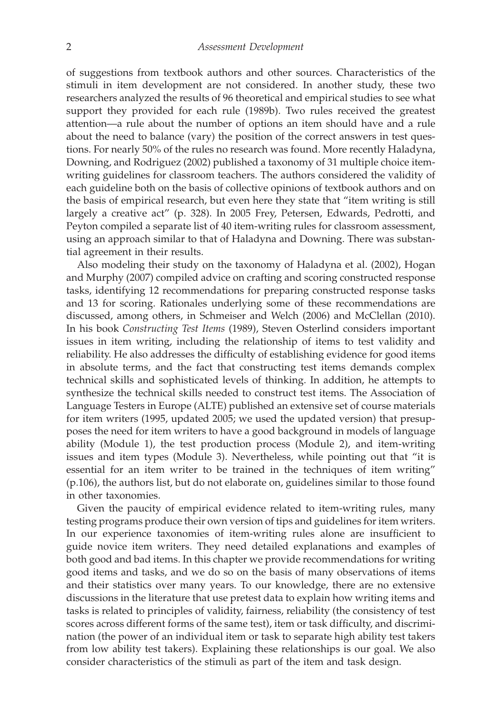of suggestions from textbook authors and other sources. Characteristics of the stimuli in item development are not considered. In another study, these two researchers analyzed the results of 96 theoretical and empirical studies to see what support they provided for each rule (1989b). Two rules received the greatest attention—a rule about the number of options an item should have and a rule about the need to balance (vary) the position of the correct answers in test questions. For nearly 50% of the rules no research was found. More recently Haladyna, Downing, and Rodriguez (2002) published a taxonomy of 31 multiple choice itemwriting guidelines for classroom teachers. The authors considered the validity of each guideline both on the basis of collective opinions of textbook authors and on the basis of empirical research, but even here they state that "item writing is still largely a creative act" (p. 328). In 2005 Frey, Petersen, Edwards, Pedrotti, and Peyton compiled a separate list of 40 item-writing rules for classroom assessment, using an approach similar to that of Haladyna and Downing. There was substantial agreement in their results.

Also modeling their study on the taxonomy of Haladyna et al. (2002), Hogan and Murphy (2007) compiled advice on crafting and scoring constructed response tasks, identifying 12 recommendations for preparing constructed response tasks and 13 for scoring. Rationales underlying some of these recommendations are discussed, among others, in Schmeiser and Welch (2006) and McClellan (2010). In his book *Constructing Test Items* (1989), Steven Osterlind considers important issues in item writing, including the relationship of items to test validity and reliability. He also addresses the difficulty of establishing evidence for good items in absolute terms, and the fact that constructing test items demands complex technical skills and sophisticated levels of thinking. In addition, he attempts to synthesize the technical skills needed to construct test items. The Association of Language Testers in Europe (ALTE) published an extensive set of course materials for item writers (1995, updated 2005; we used the updated version) that presupposes the need for item writers to have a good background in models of language ability (Module 1), the test production process (Module 2), and item-writing issues and item types (Module 3). Nevertheless, while pointing out that "it is essential for an item writer to be trained in the techniques of item writing" (p.106), the authors list, but do not elaborate on, guidelines similar to those found in other taxonomies.

Given the paucity of empirical evidence related to item-writing rules, many testing programs produce their own version of tips and guidelines for item writers. In our experience taxonomies of item-writing rules alone are insufficient to guide novice item writers. They need detailed explanations and examples of both good and bad items. In this chapter we provide recommendations for writing good items and tasks, and we do so on the basis of many observations of items and their statistics over many years. To our knowledge, there are no extensive discussions in the literature that use pretest data to explain how writing items and tasks is related to principles of validity, fairness, reliability (the consistency of test scores across different forms of the same test), item or task difficulty, and discrimination (the power of an individual item or task to separate high ability test takers from low ability test takers). Explaining these relationships is our goal. We also consider characteristics of the stimuli as part of the item and task design.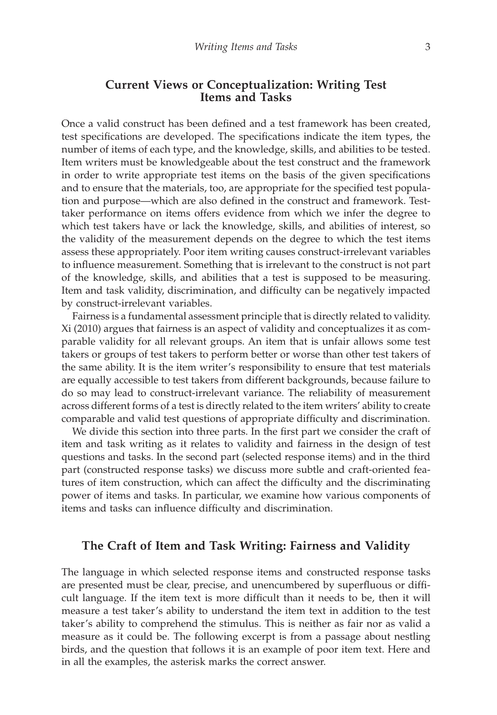# **Current Views or Conceptualization: Writing Test Items and Tasks**

Once a valid construct has been defined and a test framework has been created, test specifications are developed. The specifications indicate the item types, the number of items of each type, and the knowledge, skills, and abilities to be tested. Item writers must be knowledgeable about the test construct and the framework in order to write appropriate test items on the basis of the given specifications and to ensure that the materials, too, are appropriate for the specified test population and purpose—which are also defined in the construct and framework. Testtaker performance on items offers evidence from which we infer the degree to which test takers have or lack the knowledge, skills, and abilities of interest, so the validity of the measurement depends on the degree to which the test items assess these appropriately. Poor item writing causes construct-irrelevant variables to influence measurement. Something that is irrelevant to the construct is not part of the knowledge, skills, and abilities that a test is supposed to be measuring. Item and task validity, discrimination, and difficulty can be negatively impacted by construct-irrelevant variables.

Fairness is a fundamental assessment principle that is directly related to validity. Xi (2010) argues that fairness is an aspect of validity and conceptualizes it as comparable validity for all relevant groups. An item that is unfair allows some test takers or groups of test takers to perform better or worse than other test takers of the same ability. It is the item writer's responsibility to ensure that test materials are equally accessible to test takers from different backgrounds, because failure to do so may lead to construct-irrelevant variance. The reliability of measurement across different forms of a test is directly related to the item writers' ability to create comparable and valid test questions of appropriate difficulty and discrimination.

We divide this section into three parts. In the first part we consider the craft of item and task writing as it relates to validity and fairness in the design of test questions and tasks. In the second part (selected response items) and in the third part (constructed response tasks) we discuss more subtle and craft-oriented features of item construction, which can affect the difficulty and the discriminating power of items and tasks. In particular, we examine how various components of items and tasks can influence difficulty and discrimination.

# **The Craft of Item and Task Writing: Fairness and Validity**

The language in which selected response items and constructed response tasks are presented must be clear, precise, and unencumbered by superfluous or difficult language. If the item text is more difficult than it needs to be, then it will measure a test taker's ability to understand the item text in addition to the test taker's ability to comprehend the stimulus. This is neither as fair nor as valid a measure as it could be. The following excerpt is from a passage about nestling birds, and the question that follows it is an example of poor item text. Here and in all the examples, the asterisk marks the correct answer.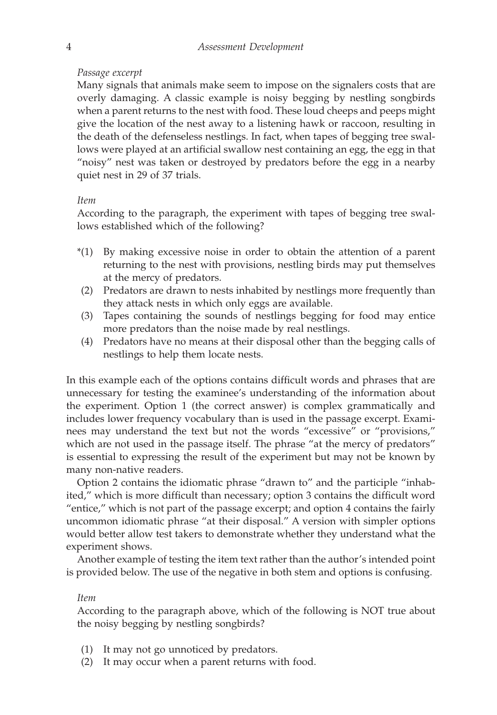#### *Passage excerpt*

Many signals that animals make seem to impose on the signalers costs that are overly damaging. A classic example is noisy begging by nestling songbirds when a parent returns to the nest with food. These loud cheeps and peeps might give the location of the nest away to a listening hawk or raccoon, resulting in the death of the defenseless nestlings. In fact, when tapes of begging tree swallows were played at an artificial swallow nest containing an egg, the egg in that "noisy" nest was taken or destroyed by predators before the egg in a nearby quiet nest in 29 of 37 trials.

#### *Item*

According to the paragraph, the experiment with tapes of begging tree swallows established which of the following?

- \*(1) By making excessive noise in order to obtain the attention of a parent returning to the nest with provisions, nestling birds may put themselves at the mercy of predators.
- (2) Predators are drawn to nests inhabited by nestlings more frequently than they attack nests in which only eggs are available.
- (3) Tapes containing the sounds of nestlings begging for food may entice more predators than the noise made by real nestlings.
- (4) Predators have no means at their disposal other than the begging calls of nestlings to help them locate nests.

In this example each of the options contains difficult words and phrases that are unnecessary for testing the examinee's understanding of the information about the experiment. Option 1 (the correct answer) is complex grammatically and includes lower frequency vocabulary than is used in the passage excerpt. Examinees may understand the text but not the words "excessive" or "provisions," which are not used in the passage itself. The phrase "at the mercy of predators" is essential to expressing the result of the experiment but may not be known by many non-native readers.

Option 2 contains the idiomatic phrase "drawn to" and the participle "inhabited," which is more difficult than necessary; option 3 contains the difficult word "entice," which is not part of the passage excerpt; and option 4 contains the fairly uncommon idiomatic phrase "at their disposal." A version with simpler options would better allow test takers to demonstrate whether they understand what the experiment shows.

Another example of testing the item text rather than the author's intended point is provided below. The use of the negative in both stem and options is confusing.

#### *Item*

According to the paragraph above, which of the following is NOT true about the noisy begging by nestling songbirds?

- (1) It may not go unnoticed by predators.
- (2) It may occur when a parent returns with food.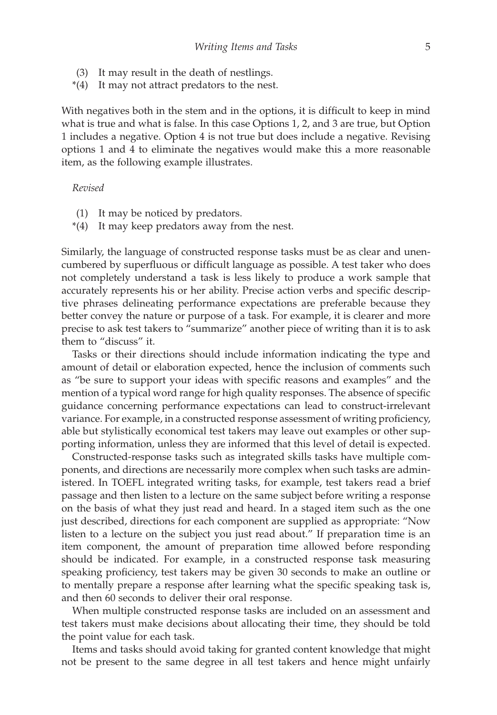- (3) It may result in the death of nestlings.
- \*(4) It may not attract predators to the nest.

With negatives both in the stem and in the options, it is difficult to keep in mind what is true and what is false. In this case Options 1, 2, and 3 are true, but Option 1 includes a negative. Option 4 is not true but does include a negative. Revising options 1 and 4 to eliminate the negatives would make this a more reasonable item, as the following example illustrates.

#### *Revised*

- (1) It may be noticed by predators.
- \*(4) It may keep predators away from the nest.

Similarly, the language of constructed response tasks must be as clear and unencumbered by superfluous or difficult language as possible. A test taker who does not completely understand a task is less likely to produce a work sample that accurately represents his or her ability. Precise action verbs and specific descriptive phrases delineating performance expectations are preferable because they better convey the nature or purpose of a task. For example, it is clearer and more precise to ask test takers to "summarize" another piece of writing than it is to ask them to "discuss" it.

Tasks or their directions should include information indicating the type and amount of detail or elaboration expected, hence the inclusion of comments such as "be sure to support your ideas with specific reasons and examples" and the mention of a typical word range for high quality responses. The absence of specific guidance concerning performance expectations can lead to construct-irrelevant variance. For example, in a constructed response assessment of writing proficiency, able but stylistically economical test takers may leave out examples or other supporting information, unless they are informed that this level of detail is expected.

Constructed-response tasks such as integrated skills tasks have multiple components, and directions are necessarily more complex when such tasks are administered. In TOEFL integrated writing tasks, for example, test takers read a brief passage and then listen to a lecture on the same subject before writing a response on the basis of what they just read and heard. In a staged item such as the one just described, directions for each component are supplied as appropriate: "Now listen to a lecture on the subject you just read about." If preparation time is an item component, the amount of preparation time allowed before responding should be indicated. For example, in a constructed response task measuring speaking proficiency, test takers may be given 30 seconds to make an outline or to mentally prepare a response after learning what the specific speaking task is, and then 60 seconds to deliver their oral response.

When multiple constructed response tasks are included on an assessment and test takers must make decisions about allocating their time, they should be told the point value for each task.

Items and tasks should avoid taking for granted content knowledge that might not be present to the same degree in all test takers and hence might unfairly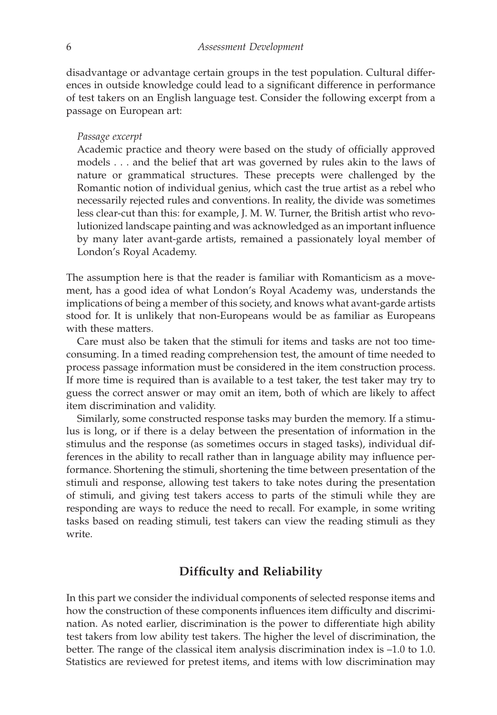disadvantage or advantage certain groups in the test population. Cultural differences in outside knowledge could lead to a significant difference in performance of test takers on an English language test. Consider the following excerpt from a passage on European art:

#### *Passage excerpt*

Academic practice and theory were based on the study of officially approved models . . . and the belief that art was governed by rules akin to the laws of nature or grammatical structures. These precepts were challenged by the Romantic notion of individual genius, which cast the true artist as a rebel who necessarily rejected rules and conventions. In reality, the divide was sometimes less clear-cut than this: for example, J. M. W. Turner, the British artist who revolutionized landscape painting and was acknowledged as an important influence by many later avant-garde artists, remained a passionately loyal member of London's Royal Academy.

The assumption here is that the reader is familiar with Romanticism as a movement, has a good idea of what London's Royal Academy was, understands the implications of being a member of this society, and knows what avant-garde artists stood for. It is unlikely that non-Europeans would be as familiar as Europeans with these matters.

Care must also be taken that the stimuli for items and tasks are not too timeconsuming. In a timed reading comprehension test, the amount of time needed to process passage information must be considered in the item construction process. If more time is required than is available to a test taker, the test taker may try to guess the correct answer or may omit an item, both of which are likely to affect item discrimination and validity.

Similarly, some constructed response tasks may burden the memory. If a stimulus is long, or if there is a delay between the presentation of information in the stimulus and the response (as sometimes occurs in staged tasks), individual differences in the ability to recall rather than in language ability may influence performance. Shortening the stimuli, shortening the time between presentation of the stimuli and response, allowing test takers to take notes during the presentation of stimuli, and giving test takers access to parts of the stimuli while they are responding are ways to reduce the need to recall. For example, in some writing tasks based on reading stimuli, test takers can view the reading stimuli as they write.

# **Difficulty and Reliability**

In this part we consider the individual components of selected response items and how the construction of these components influences item difficulty and discrimination. As noted earlier, discrimination is the power to differentiate high ability test takers from low ability test takers. The higher the level of discrimination, the better. The range of the classical item analysis discrimination index is –1.0 to 1.0. Statistics are reviewed for pretest items, and items with low discrimination may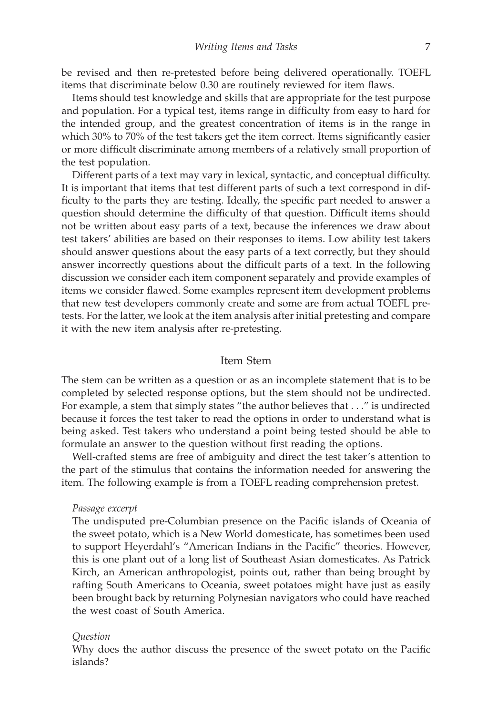be revised and then re-pretested before being delivered operationally. TOEFL items that discriminate below 0.30 are routinely reviewed for item flaws.

Items should test knowledge and skills that are appropriate for the test purpose and population. For a typical test, items range in difficulty from easy to hard for the intended group, and the greatest concentration of items is in the range in which 30% to 70% of the test takers get the item correct. Items significantly easier or more difficult discriminate among members of a relatively small proportion of the test population.

Different parts of a text may vary in lexical, syntactic, and conceptual difficulty. It is important that items that test different parts of such a text correspond in difficulty to the parts they are testing. Ideally, the specific part needed to answer a question should determine the difficulty of that question. Difficult items should not be written about easy parts of a text, because the inferences we draw about test takers' abilities are based on their responses to items. Low ability test takers should answer questions about the easy parts of a text correctly, but they should answer incorrectly questions about the difficult parts of a text. In the following discussion we consider each item component separately and provide examples of items we consider flawed. Some examples represent item development problems that new test developers commonly create and some are from actual TOEFL pretests. For the latter, we look at the item analysis after initial pretesting and compare it with the new item analysis after re-pretesting.

### Item Stem

The stem can be written as a question or as an incomplete statement that is to be completed by selected response options, but the stem should not be undirected. For example, a stem that simply states "the author believes that . . ." is undirected because it forces the test taker to read the options in order to understand what is being asked. Test takers who understand a point being tested should be able to formulate an answer to the question without first reading the options.

Well-crafted stems are free of ambiguity and direct the test taker's attention to the part of the stimulus that contains the information needed for answering the item. The following example is from a TOEFL reading comprehension pretest.

#### *Passage excerpt*

The undisputed pre-Columbian presence on the Pacific islands of Oceania of the sweet potato, which is a New World domesticate, has sometimes been used to support Heyerdahl's "American Indians in the Pacific" theories. However, this is one plant out of a long list of Southeast Asian domesticates. As Patrick Kirch, an American anthropologist, points out, rather than being brought by rafting South Americans to Oceania, sweet potatoes might have just as easily been brought back by returning Polynesian navigators who could have reached the west coast of South America.

#### *Question*

Why does the author discuss the presence of the sweet potato on the Pacific islands?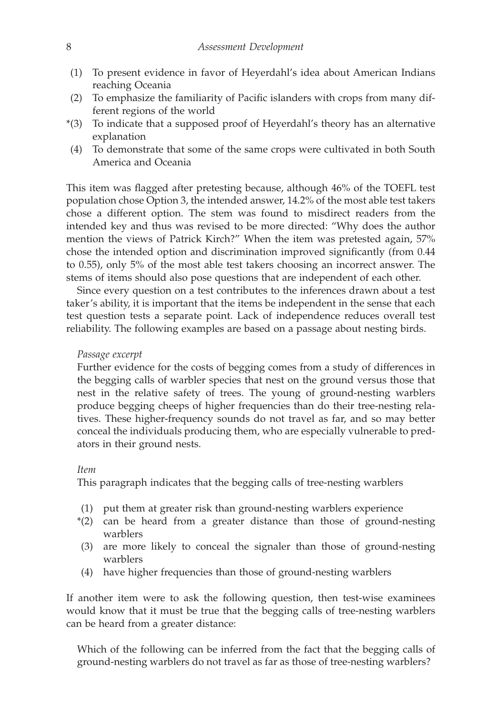- (1) To present evidence in favor of Heyerdahl's idea about American Indians reaching Oceania
- (2) To emphasize the familiarity of Pacific islanders with crops from many different regions of the world
- \*(3) To indicate that a supposed proof of Heyerdahl's theory has an alternative explanation
- (4) To demonstrate that some of the same crops were cultivated in both South America and Oceania

This item was flagged after pretesting because, although 46% of the TOEFL test population chose Option 3, the intended answer, 14.2% of the most able test takers chose a different option. The stem was found to misdirect readers from the intended key and thus was revised to be more directed: "Why does the author mention the views of Patrick Kirch?" When the item was pretested again, 57% chose the intended option and discrimination improved significantly (from 0.44 to 0.55), only 5% of the most able test takers choosing an incorrect answer. The stems of items should also pose questions that are independent of each other.

Since every question on a test contributes to the inferences drawn about a test taker's ability, it is important that the items be independent in the sense that each test question tests a separate point. Lack of independence reduces overall test reliability. The following examples are based on a passage about nesting birds.

### *Passage excerpt*

Further evidence for the costs of begging comes from a study of differences in the begging calls of warbler species that nest on the ground versus those that nest in the relative safety of trees. The young of ground-nesting warblers produce begging cheeps of higher frequencies than do their tree-nesting relatives. These higher-frequency sounds do not travel as far, and so may better conceal the individuals producing them, who are especially vulnerable to predators in their ground nests.

#### *Item*

This paragraph indicates that the begging calls of tree-nesting warblers

- (1) put them at greater risk than ground-nesting warblers experience
- \*(2) can be heard from a greater distance than those of ground-nesting warblers
- (3) are more likely to conceal the signaler than those of ground-nesting warblers
- (4) have higher frequencies than those of ground-nesting warblers

If another item were to ask the following question, then test-wise examinees would know that it must be true that the begging calls of tree-nesting warblers can be heard from a greater distance:

Which of the following can be inferred from the fact that the begging calls of ground-nesting warblers do not travel as far as those of tree-nesting warblers?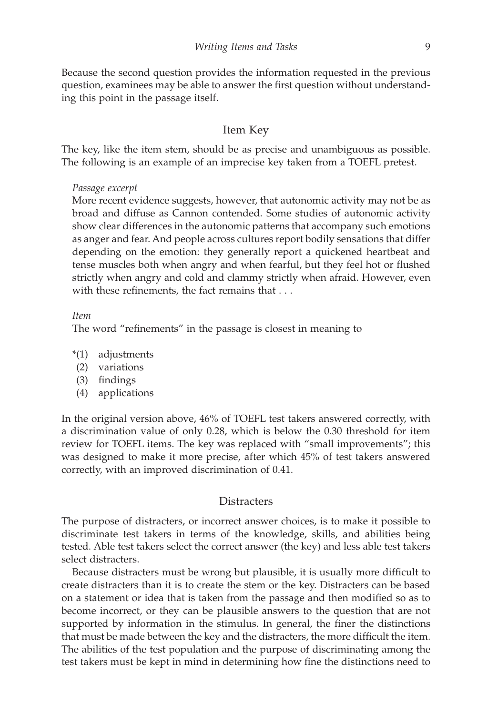Because the second question provides the information requested in the previous question, examinees may be able to answer the first question without understanding this point in the passage itself.

#### Item Key

The key, like the item stem, should be as precise and unambiguous as possible. The following is an example of an imprecise key taken from a TOEFL pretest.

#### *Passage excerpt*

More recent evidence suggests, however, that autonomic activity may not be as broad and diffuse as Cannon contended. Some studies of autonomic activity show clear differences in the autonomic patterns that accompany such emotions as anger and fear. And people across cultures report bodily sensations that differ depending on the emotion: they generally report a quickened heartbeat and tense muscles both when angry and when fearful, but they feel hot or flushed strictly when angry and cold and clammy strictly when afraid. However, even with these refinements, the fact remains that . . .

### *Item*

The word "refinements" in the passage is closest in meaning to

- \*(1) adjustments
- (2) variations
- (3) findings
- (4) applications

In the original version above, 46% of TOEFL test takers answered correctly, with a discrimination value of only 0.28, which is below the 0.30 threshold for item review for TOEFL items. The key was replaced with "small improvements"; this was designed to make it more precise, after which 45% of test takers answered correctly, with an improved discrimination of 0.41.

#### **Distracters**

The purpose of distracters, or incorrect answer choices, is to make it possible to discriminate test takers in terms of the knowledge, skills, and abilities being tested. Able test takers select the correct answer (the key) and less able test takers select distracters.

Because distracters must be wrong but plausible, it is usually more difficult to create distracters than it is to create the stem or the key. Distracters can be based on a statement or idea that is taken from the passage and then modified so as to become incorrect, or they can be plausible answers to the question that are not supported by information in the stimulus. In general, the finer the distinctions that must be made between the key and the distracters, the more difficult the item. The abilities of the test population and the purpose of discriminating among the test takers must be kept in mind in determining how fine the distinctions need to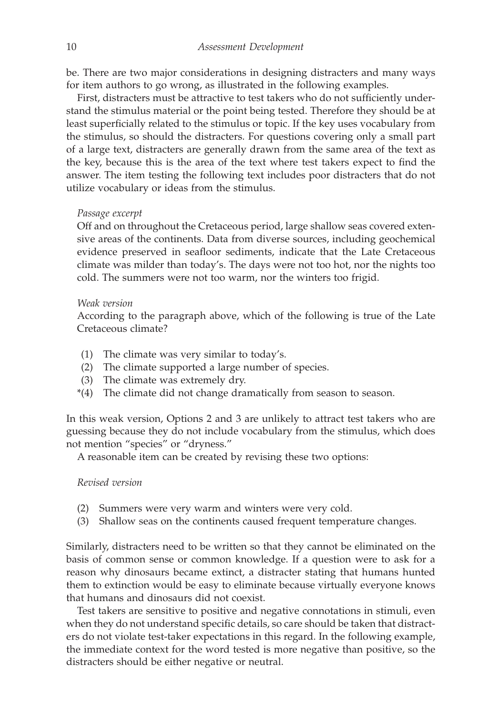be. There are two major considerations in designing distracters and many ways for item authors to go wrong, as illustrated in the following examples.

First, distracters must be attractive to test takers who do not sufficiently understand the stimulus material or the point being tested. Therefore they should be at least superficially related to the stimulus or topic. If the key uses vocabulary from the stimulus, so should the distracters. For questions covering only a small part of a large text, distracters are generally drawn from the same area of the text as the key, because this is the area of the text where test takers expect to find the answer. The item testing the following text includes poor distracters that do not utilize vocabulary or ideas from the stimulus.

#### *Passage excerpt*

Off and on throughout the Cretaceous period, large shallow seas covered extensive areas of the continents. Data from diverse sources, including geochemical evidence preserved in seafloor sediments, indicate that the Late Cretaceous climate was milder than today's. The days were not too hot, nor the nights too cold. The summers were not too warm, nor the winters too frigid.

#### *Weak version*

According to the paragraph above, which of the following is true of the Late Cretaceous climate?

- (1) The climate was very similar to today's.
- (2) The climate supported a large number of species.
- (3) The climate was extremely dry.
- \*(4) The climate did not change dramatically from season to season.

In this weak version, Options 2 and 3 are unlikely to attract test takers who are guessing because they do not include vocabulary from the stimulus, which does not mention "species" or "dryness."

A reasonable item can be created by revising these two options:

### *Revised version*

- (2) Summers were very warm and winters were very cold.
- (3) Shallow seas on the continents caused frequent temperature changes.

Similarly, distracters need to be written so that they cannot be eliminated on the basis of common sense or common knowledge. If a question were to ask for a reason why dinosaurs became extinct, a distracter stating that humans hunted them to extinction would be easy to eliminate because virtually everyone knows that humans and dinosaurs did not coexist.

Test takers are sensitive to positive and negative connotations in stimuli, even when they do not understand specific details, so care should be taken that distracters do not violate test-taker expectations in this regard. In the following example, the immediate context for the word tested is more negative than positive, so the distracters should be either negative or neutral.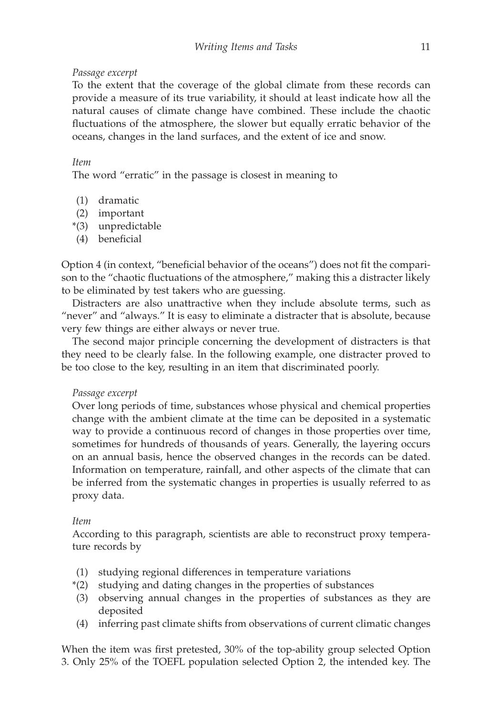# *Passage excerpt*

To the extent that the coverage of the global climate from these records can provide a measure of its true variability, it should at least indicate how all the natural causes of climate change have combined. These include the chaotic fluctuations of the atmosphere, the slower but equally erratic behavior of the oceans, changes in the land surfaces, and the extent of ice and snow.

### *Item*

The word "erratic" in the passage is closest in meaning to

- (1) dramatic
- (2) important
- \*(3) unpredictable
- (4) beneficial

Option 4 (in context, "beneficial behavior of the oceans") does not fit the comparison to the "chaotic fluctuations of the atmosphere," making this a distracter likely to be eliminated by test takers who are guessing.

Distracters are also unattractive when they include absolute terms, such as "never" and "always." It is easy to eliminate a distracter that is absolute, because very few things are either always or never true.

The second major principle concerning the development of distracters is that they need to be clearly false. In the following example, one distracter proved to be too close to the key, resulting in an item that discriminated poorly.

### *Passage excerpt*

Over long periods of time, substances whose physical and chemical properties change with the ambient climate at the time can be deposited in a systematic way to provide a continuous record of changes in those properties over time, sometimes for hundreds of thousands of years. Generally, the layering occurs on an annual basis, hence the observed changes in the records can be dated. Information on temperature, rainfall, and other aspects of the climate that can be inferred from the systematic changes in properties is usually referred to as proxy data.

### *Item*

According to this paragraph, scientists are able to reconstruct proxy temperature records by

- (1) studying regional differences in temperature variations
- \*(2) studying and dating changes in the properties of substances
- (3) observing annual changes in the properties of substances as they are deposited
- (4) inferring past climate shifts from observations of current climatic changes

When the item was first pretested, 30% of the top-ability group selected Option 3. Only 25% of the TOEFL population selected Option 2, the intended key. The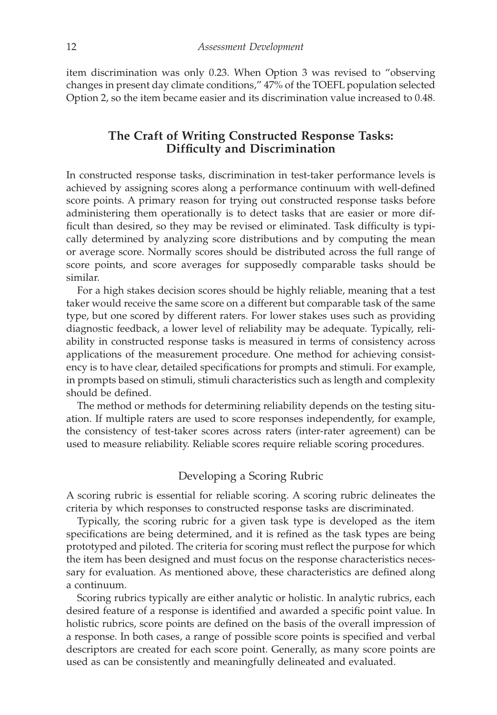item discrimination was only 0.23. When Option 3 was revised to "observing changes in present day climate conditions," 47% of the TOEFL population selected Option 2, so the item became easier and its discrimination value increased to 0.48.

# **The Craft of Writing Constructed Response Tasks: Difficulty and Discrimination**

In constructed response tasks, discrimination in test-taker performance levels is achieved by assigning scores along a performance continuum with well-defined score points. A primary reason for trying out constructed response tasks before administering them operationally is to detect tasks that are easier or more difficult than desired, so they may be revised or eliminated. Task difficulty is typically determined by analyzing score distributions and by computing the mean or average score. Normally scores should be distributed across the full range of score points, and score averages for supposedly comparable tasks should be similar.

For a high stakes decision scores should be highly reliable, meaning that a test taker would receive the same score on a different but comparable task of the same type, but one scored by different raters. For lower stakes uses such as providing diagnostic feedback, a lower level of reliability may be adequate. Typically, reliability in constructed response tasks is measured in terms of consistency across applications of the measurement procedure. One method for achieving consistency is to have clear, detailed specifications for prompts and stimuli. For example, in prompts based on stimuli, stimuli characteristics such as length and complexity should be defined.

The method or methods for determining reliability depends on the testing situation. If multiple raters are used to score responses independently, for example, the consistency of test-taker scores across raters (inter-rater agreement) can be used to measure reliability. Reliable scores require reliable scoring procedures.

# Developing a Scoring Rubric

A scoring rubric is essential for reliable scoring. A scoring rubric delineates the criteria by which responses to constructed response tasks are discriminated.

Typically, the scoring rubric for a given task type is developed as the item specifications are being determined, and it is refined as the task types are being prototyped and piloted. The criteria for scoring must reflect the purpose for which the item has been designed and must focus on the response characteristics necessary for evaluation. As mentioned above, these characteristics are defined along a continuum.

Scoring rubrics typically are either analytic or holistic. In analytic rubrics, each desired feature of a response is identified and awarded a specific point value. In holistic rubrics, score points are defined on the basis of the overall impression of a response. In both cases, a range of possible score points is specified and verbal descriptors are created for each score point. Generally, as many score points are used as can be consistently and meaningfully delineated and evaluated.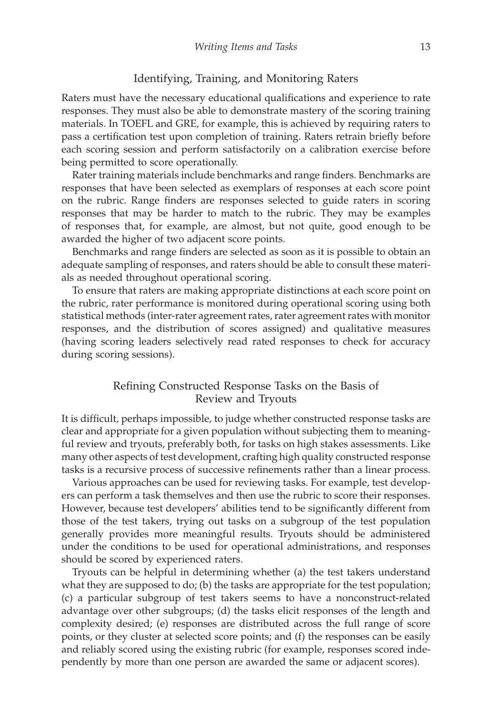# Identifying, Training, and Monitoring Raters

Raters must have the necessary educational qualifications and experience to rate responses. They must also be able to demonstrate mastery of the scoring training materials. In TOEFL and GRE, for example, this is achieved by requiring raters to pass a certification test upon completion of training. Raters retrain briefly before each scoring session and perform satisfactorily on a calibration exercise before being permitted to score operationally.

Rater training materials include benchmarks and range finders. Benchmarks are responses that have been selected as exemplars of responses at each score point on the rubric. Range finders are responses selected to guide raters in scoring responses that may be harder to match to the rubric. They may be examples of responses that, for example, are almost, but not quite, good enough to be awarded the higher of two adjacent score points.

Benchmarks and range finders are selected as soon as it is possible to obtain an adequate sampling of responses, and raters should be able to consult these materials as needed throughout operational scoring.

To ensure that raters are making appropriate distinctions at each score point on the rubric, rater performance is monitored during operational scoring using both statistical methods (inter-rater agreement rates, rater agreement rates with monitor responses, and the distribution of scores assigned) and qualitative measures (having scoring leaders selectively read rated responses to check for accuracy during scoring sessions).

# Refining Constructed Response Tasks on the Basis of Review and Tryouts

It is difficult, perhaps impossible, to judge whether constructed response tasks are clear and appropriate for a given population without subjecting them to meaningful review and tryouts, preferably both, for tasks on high stakes assessments. Like many other aspects of test development, crafting high quality constructed response tasks is a recursive process of successive refinements rather than a linear process.

Various approaches can be used for reviewing tasks. For example, test developers can perform a task themselves and then use the rubric to score their responses. However, because test developers' abilities tend to be significantly different from those of the test takers, trying out tasks on a subgroup of the test population generally provides more meaningful results. Tryouts should be administered under the conditions to be used for operational administrations, and responses should be scored by experienced raters.

Tryouts can be helpful in determining whether (a) the test takers understand what they are supposed to do; (b) the tasks are appropriate for the test population; (c) a particular subgroup of test takers seems to have a nonconstruct-related advantage over other subgroups; (d) the tasks elicit responses of the length and complexity desired; (e) responses are distributed across the full range of score points, or they cluster at selected score points; and (f) the responses can be easily and reliably scored using the existing rubric (for example, responses scored independently by more than one person are awarded the same or adjacent scores).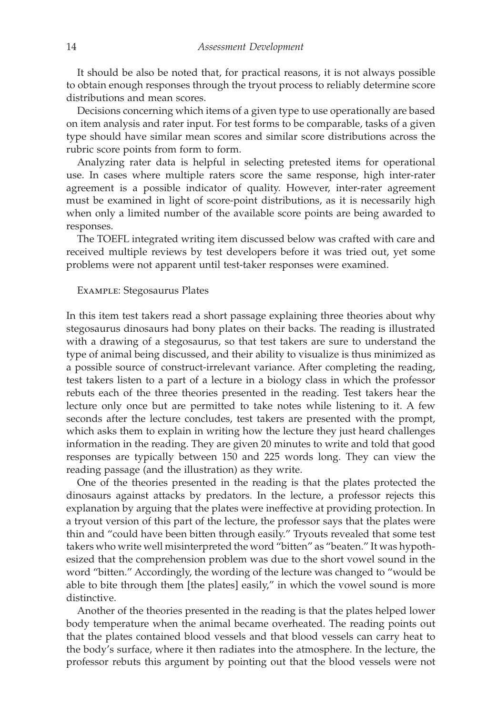It should be also be noted that, for practical reasons, it is not always possible to obtain enough responses through the tryout process to reliably determine score distributions and mean scores.

Decisions concerning which items of a given type to use operationally are based on item analysis and rater input. For test forms to be comparable, tasks of a given type should have similar mean scores and similar score distributions across the rubric score points from form to form.

Analyzing rater data is helpful in selecting pretested items for operational use. In cases where multiple raters score the same response, high inter-rater agreement is a possible indicator of quality. However, inter-rater agreement must be examined in light of score-point distributions, as it is necessarily high when only a limited number of the available score points are being awarded to responses.

The TOEFL integrated writing item discussed below was crafted with care and received multiple reviews by test developers before it was tried out, yet some problems were not apparent until test-taker responses were examined.

#### Example: Stegosaurus Plates

In this item test takers read a short passage explaining three theories about why stegosaurus dinosaurs had bony plates on their backs. The reading is illustrated with a drawing of a stegosaurus, so that test takers are sure to understand the type of animal being discussed, and their ability to visualize is thus minimized as a possible source of construct-irrelevant variance. After completing the reading, test takers listen to a part of a lecture in a biology class in which the professor rebuts each of the three theories presented in the reading. Test takers hear the lecture only once but are permitted to take notes while listening to it. A few seconds after the lecture concludes, test takers are presented with the prompt, which asks them to explain in writing how the lecture they just heard challenges information in the reading. They are given 20 minutes to write and told that good responses are typically between 150 and 225 words long. They can view the reading passage (and the illustration) as they write.

One of the theories presented in the reading is that the plates protected the dinosaurs against attacks by predators. In the lecture, a professor rejects this explanation by arguing that the plates were ineffective at providing protection. In a tryout version of this part of the lecture, the professor says that the plates were thin and "could have been bitten through easily." Tryouts revealed that some test takers who write well misinterpreted the word "bitten" as "beaten." It was hypothesized that the comprehension problem was due to the short vowel sound in the word "bitten." Accordingly, the wording of the lecture was changed to "would be able to bite through them [the plates] easily," in which the vowel sound is more distinctive.

Another of the theories presented in the reading is that the plates helped lower body temperature when the animal became overheated. The reading points out that the plates contained blood vessels and that blood vessels can carry heat to the body's surface, where it then radiates into the atmosphere. In the lecture, the professor rebuts this argument by pointing out that the blood vessels were not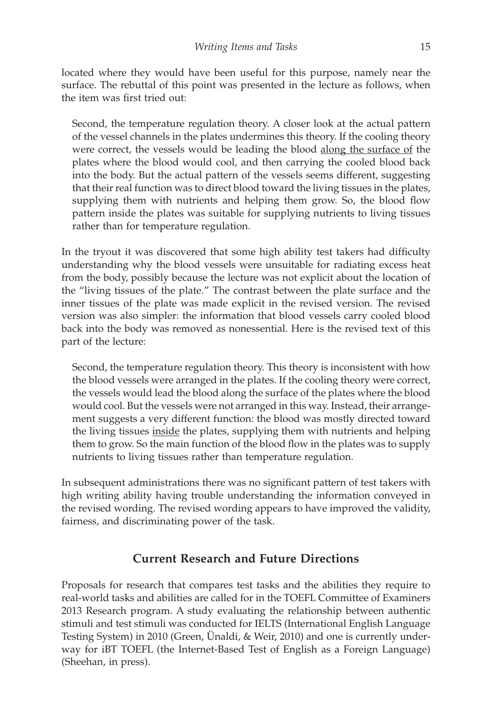located where they would have been useful for this purpose, namely near the surface. The rebuttal of this point was presented in the lecture as follows, when the item was first tried out:

Second, the temperature regulation theory. A closer look at the actual pattern of the vessel channels in the plates undermines this theory. If the cooling theory were correct, the vessels would be leading the blood along the surface of the plates where the blood would cool, and then carrying the cooled blood back into the body. But the actual pattern of the vessels seems different, suggesting that their real function was to direct blood toward the living tissues in the plates, supplying them with nutrients and helping them grow. So, the blood flow pattern inside the plates was suitable for supplying nutrients to living tissues rather than for temperature regulation.

In the tryout it was discovered that some high ability test takers had difficulty understanding why the blood vessels were unsuitable for radiating excess heat from the body, possibly because the lecture was not explicit about the location of the "living tissues of the plate." The contrast between the plate surface and the inner tissues of the plate was made explicit in the revised version. The revised version was also simpler: the information that blood vessels carry cooled blood back into the body was removed as nonessential. Here is the revised text of this part of the lecture:

Second, the temperature regulation theory. This theory is inconsistent with how the blood vessels were arranged in the plates. If the cooling theory were correct, the vessels would lead the blood along the surface of the plates where the blood would cool. But the vessels were not arranged in this way. Instead, their arrangement suggests a very different function: the blood was mostly directed toward the living tissues inside the plates, supplying them with nutrients and helping them to grow. So the main function of the blood flow in the plates was to supply nutrients to living tissues rather than temperature regulation.

In subsequent administrations there was no significant pattern of test takers with high writing ability having trouble understanding the information conveyed in the revised wording. The revised wording appears to have improved the validity, fairness, and discriminating power of the task.

# **Current Research and Future Directions**

Proposals for research that compares test tasks and the abilities they require to real-world tasks and abilities are called for in the TOEFL Committee of Examiners 2013 Research program. A study evaluating the relationship between authentic stimuli and test stimuli was conducted for IELTS (International English Language Testing System) in 2010 (Green, Ünaldi, & Weir, 2010) and one is currently underway for iBT TOEFL (the Internet-Based Test of English as a Foreign Language) (Sheehan, in press).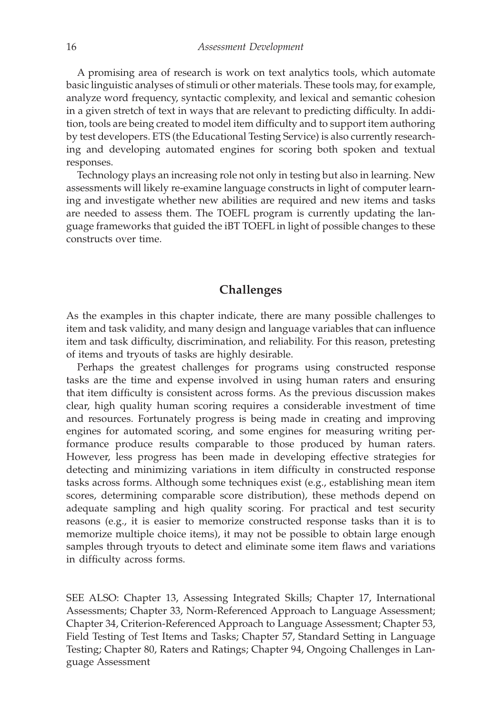A promising area of research is work on text analytics tools, which automate basic linguistic analyses of stimuli or other materials. These tools may, for example, analyze word frequency, syntactic complexity, and lexical and semantic cohesion in a given stretch of text in ways that are relevant to predicting difficulty. In addition, tools are being created to model item difficulty and to support item authoring by test developers. ETS (the Educational Testing Service) is also currently researching and developing automated engines for scoring both spoken and textual responses.

Technology plays an increasing role not only in testing but also in learning. New assessments will likely re-examine language constructs in light of computer learning and investigate whether new abilities are required and new items and tasks are needed to assess them. The TOEFL program is currently updating the language frameworks that guided the iBT TOEFL in light of possible changes to these constructs over time.

# **Challenges**

As the examples in this chapter indicate, there are many possible challenges to item and task validity, and many design and language variables that can influence item and task difficulty, discrimination, and reliability. For this reason, pretesting of items and tryouts of tasks are highly desirable.

Perhaps the greatest challenges for programs using constructed response tasks are the time and expense involved in using human raters and ensuring that item difficulty is consistent across forms. As the previous discussion makes clear, high quality human scoring requires a considerable investment of time and resources. Fortunately progress is being made in creating and improving engines for automated scoring, and some engines for measuring writing performance produce results comparable to those produced by human raters. However, less progress has been made in developing effective strategies for detecting and minimizing variations in item difficulty in constructed response tasks across forms. Although some techniques exist (e.g., establishing mean item scores, determining comparable score distribution), these methods depend on adequate sampling and high quality scoring. For practical and test security reasons (e.g., it is easier to memorize constructed response tasks than it is to memorize multiple choice items), it may not be possible to obtain large enough samples through tryouts to detect and eliminate some item flaws and variations in difficulty across forms.

SEE ALSO: Chapter 13, Assessing Integrated Skills; Chapter 17, International Assessments; Chapter 33, Norm-Referenced Approach to Language Assessment; Chapter 34, Criterion-Referenced Approach to Language Assessment; Chapter 53, Field Testing of Test Items and Tasks; Chapter 57, Standard Setting in Language Testing; Chapter 80, Raters and Ratings; Chapter 94, Ongoing Challenges in Language Assessment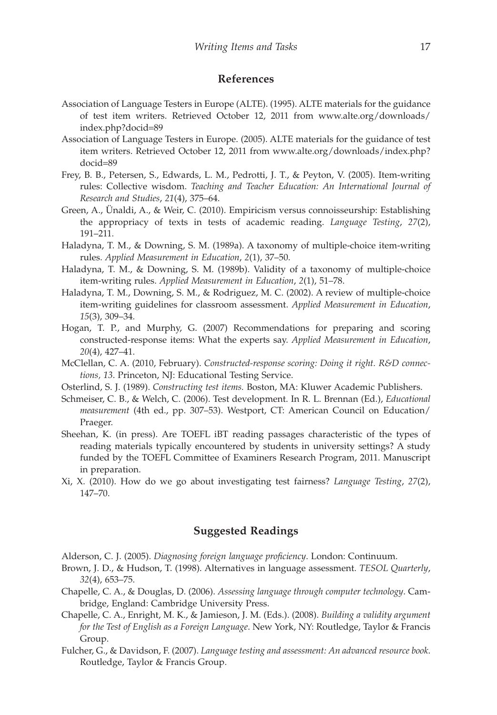### **References**

- Association of Language Testers in Europe (ALTE). (1995). ALTE materials for the guidance of test item writers. Retrieved October 12, 2011 from [www.alte.org/downloads/](http://www.alte.org/downloads/index.php?docid=89) [index.php?docid](http://www.alte.org/downloads/index.php?docid=89)=89
- Association of Language Testers in Europe. (2005). ALTE materials for the guidance of test item writers. Retrieved October 12, 2011 from [www.alte.org/downloads/index.php?](http://www.alte.org/downloads/index.php?docid=89) [docid](http://www.alte.org/downloads/index.php?docid=89)=89
- Frey, B. B., Petersen, S., Edwards, L. M., Pedrotti, J. T., & Peyton, V. (2005). Item-writing rules: Collective wisdom. *Teaching and Teacher Education: An International Journal of Research and Studies*, *21*(4), 375–64.
- Green, A., Ünaldi, A., & Weir, C. (2010). Empiricism versus connoisseurship: Establishing the appropriacy of texts in tests of academic reading. *Language Testing*, *27*(2), 191–211.
- Haladyna, T. M., & Downing, S. M. (1989a). A taxonomy of multiple-choice item-writing rules. *Applied Measurement in Education*, *2*(1), 37–50.
- Haladyna, T. M., & Downing, S. M. (1989b). Validity of a taxonomy of multiple-choice item-writing rules. *Applied Measurement in Education*, *2*(1), 51–78.
- Haladyna, T. M., Downing, S. M., & Rodriguez, M. C. (2002). A review of multiple-choice item-writing guidelines for classroom assessment. *Applied Measurement in Education*, *15*(3), 309–34.
- Hogan, T. P., and Murphy, G. (2007) Recommendations for preparing and scoring constructed-response items: What the experts say. *Applied Measurement in Education*, *20*(4), 427–41.
- McClellan, C. A. (2010, February). *Constructed-response scoring: Doing it right. R&D connections, 13*. Princeton, NJ: Educational Testing Service.
- Osterlind, S. J. (1989). *Constructing test items.* Boston, MA: Kluwer Academic Publishers.
- Schmeiser, C. B., & Welch, C. (2006). Test development. In R. L. Brennan (Ed.), *Educational measurement* (4th ed., pp. 307–53). Westport, CT: American Council on Education/ Praeger.
- Sheehan, K. (in press). Are TOEFL iBT reading passages characteristic of the types of reading materials typically encountered by students in university settings? A study funded by the TOEFL Committee of Examiners Research Program, 2011. Manuscript in preparation.
- Xi, X. (2010). How do we go about investigating test fairness? *Language Testing*, *27*(2), 147–70.

## **Suggested Readings**

- Alderson, C. J. (2005). *Diagnosing foreign language proficiency*. London: Continuum.
- Brown, J. D., & Hudson, T. (1998). Alternatives in language assessment. *TESOL Quarterly*, *32*(4), 653–75.
- Chapelle, C. A., & Douglas, D. (2006). *Assessing language through computer technology*. Cambridge, England: Cambridge University Press.
- Chapelle, C. A., Enright, M. K., & Jamieson, J. M. (Eds.). (2008). *Building a validity argument for the Test of English as a Foreign Language*. New York, NY: Routledge, Taylor & Francis Group.
- Fulcher, G., & Davidson, F. (2007). *Language testing and assessment: An advanced resource book*. Routledge, Taylor & Francis Group.